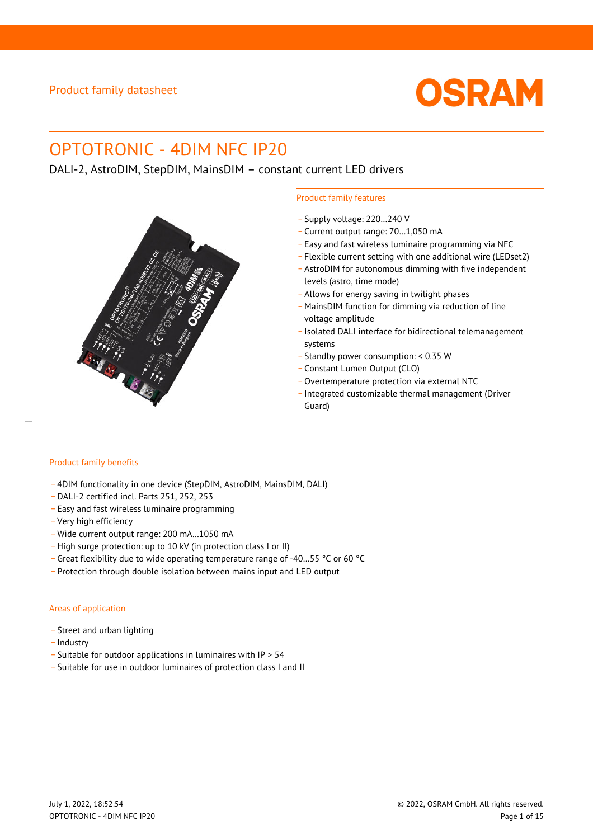

# OPTOTRONIC - 4DIM NFC IP20

DALI-2, AstroDIM, StepDIM, MainsDIM – constant current LED drivers



### Product family features

- \_ Supply voltage: 220…240 V
- \_ Current output range: 70…1,050 mA
- \_ Easy and fast wireless luminaire programming via NFC
- \_ Flexible current setting with one additional wire (LEDset2)
- \_ AstroDIM for autonomous dimming with five independent levels (astro, time mode)
- \_ Allows for energy saving in twilight phases
- \_ MainsDIM function for dimming via reduction of line voltage amplitude
- \_ Isolated DALI interface for bidirectional telemanagement systems
- \_ Standby power consumption: < 0.35 W
- \_ Constant Lumen Output (CLO)
- \_ Overtemperature protection via external NTC
- \_ Integrated customizable thermal management (Driver Guard)

### Product family benefits

- \_ 4DIM functionality in one device (StepDIM, AstroDIM, MainsDIM, DALI)
- \_ DALI-2 certified incl. Parts 251, 252, 253
- \_ Easy and fast wireless luminaire programming
- \_ Very high efficiency
- Wide current output range: 200 mA...1050 mA
- \_ High surge protection: up to 10 kV (in protection class I or II)
- \_ Great flexibility due to wide operating temperature range of -40…55 °C or 60 °C
- \_ Protection through double isolation between mains input and LED output

#### Areas of application

- Street and urban lighting
- Industry
- \_ Suitable for outdoor applications in luminaires with IP > 54
- \_ Suitable for use in outdoor luminaires of protection class I and II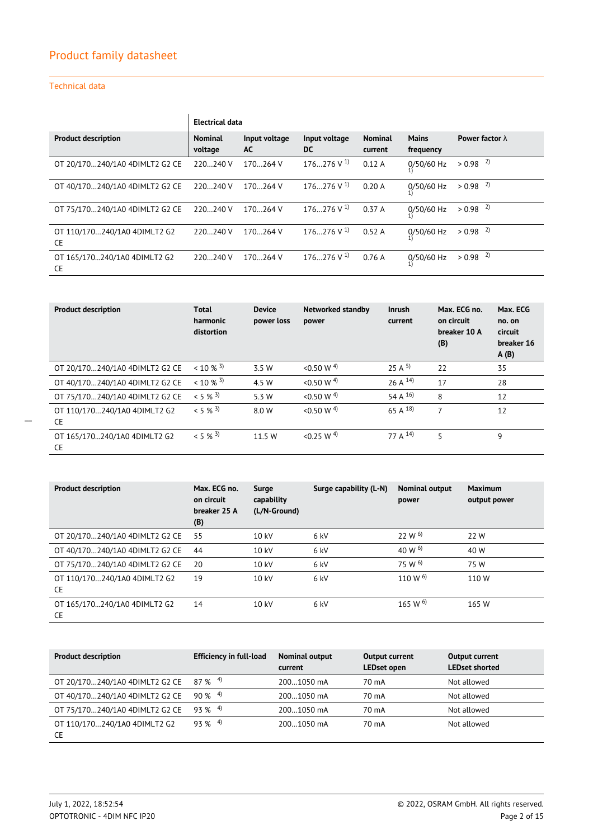$\mathbf{r}$ 

## Technical data

|                                           |                           | <b>Electrical data</b> |                          |                           |                           |                        |  |
|-------------------------------------------|---------------------------|------------------------|--------------------------|---------------------------|---------------------------|------------------------|--|
| <b>Product description</b>                | <b>Nominal</b><br>voltage | Input voltage<br>AC    | Input voltage<br>DC      | <b>Nominal</b><br>current | <b>Mains</b><br>frequency | Power factor $\lambda$ |  |
| OT 20/170240/1A0 4DIMLT2 G2 CE            | 220240 V                  | 170264 V               | $176276$ V <sup>1)</sup> | 0.12A                     | 0/50/60 Hz                | $> 0.98$ <sup>2)</sup> |  |
| OT 40/170240/1A0 4DIMLT2 G2 CE            | 220240 V                  | 170264 V               | $176276 \text{ V}^{1}$   | 0.20A                     | 0/50/60 Hz                | $> 0.98$ <sup>2)</sup> |  |
| OT 75/170240/1A0 4DIMLT2 G2 CE            | 220240 V                  | 170264 V               | $176276 \text{ V}^{1}$   | 0.37A                     | 0/50/60 Hz                | $> 0.98$ <sup>2)</sup> |  |
| OT 110/170240/1A0 4DIMLT2 G2<br><b>CE</b> | 220240 V                  | 170264 V               | $176276 \text{ V}^{1}$   | 0.52A                     | 0/50/60 Hz                | $> 0.98$ <sup>2)</sup> |  |
| OT 165/170240/1A0 4DIMLT2 G2<br><b>CE</b> | 220240 V                  | 170264 V               | $176276 \text{ V}^{1}$   | 0.76A                     | 0/50/60 Hz                | $> 0.98$ <sup>2)</sup> |  |

| <b>Product description</b>                | Total<br>harmonic<br>distortion | <b>Device</b><br>power loss | Networked standby<br>power | <b>Inrush</b><br>current | Max. ECG no.<br>on circuit<br>breaker 10 A<br>(B) | Max. ECG<br>no. on<br>circuit<br>breaker 16<br>A(B) |
|-------------------------------------------|---------------------------------|-----------------------------|----------------------------|--------------------------|---------------------------------------------------|-----------------------------------------------------|
| OT 20/170240/1A0 4DIMLT2 G2 CE            | $< 10 \%$ 3)                    | 3.5 W                       | < 0.50 W <sup>4</sup>      | $25 \text{ A}^{5}$       | 22                                                | 35                                                  |
| OT 40/170240/1A0 4DIMLT2 G2 CE            | $< 10 \%$ 3)                    | 4.5 W                       | < 0.50 W <sup>4</sup>      | 26 A $^{14}$             | 17                                                | 28                                                  |
| OT 75/170240/1A0 4DIMLT2 G2 CE            | $< 5 \%$ 3)                     | 5.3 W                       | < 0.50 W <sup>4</sup>      | 54 A $^{16}$             | 8                                                 | 12                                                  |
| OT 110/170240/1A0 4DIMLT2 G2<br><b>CE</b> | $< 5 \%$ 3)                     | 8.0 W                       | < 0.50 W <sup>4</sup>      | 65 A $^{18}$             | 7                                                 | 12                                                  |
| OT 165/170240/1A0 4DIMLT2 G2<br><b>CE</b> | $< 5 \%$ 3)                     | 11.5 W                      | < 0.25 W <sup>4</sup>      | 77 A <sup>14</sup> )     | 5                                                 | 9                                                   |

| <b>Product description</b>                | Max. ECG no.<br>on circuit<br>breaker 25 A<br>(B) | Surge<br>capability<br>(L/N-Ground) | Surge capability (L-N) | <b>Nominal output</b><br>power | <b>Maximum</b><br>output power |
|-------------------------------------------|---------------------------------------------------|-------------------------------------|------------------------|--------------------------------|--------------------------------|
| OT 20/170240/1A0 4DIMLT2 G2 CE            | 55                                                | 10 kV                               | 6 kV                   | 22 W <sup>6</sup>              | 22 W                           |
| OT 40/170240/1A0 4DIMLT2 G2 CE            | 44                                                | 10 kV                               | 6 kV                   | 40 W $^{6)}$                   | 40 W                           |
| OT 75/170240/1A0 4DIMLT2 G2 CE            | 20                                                | 10 kV                               | 6 kV                   | 75 W <sup>6</sup>              | 75 W                           |
| OT 110/170240/1A0 4DIMLT2 G2<br><b>CE</b> | 19                                                | 10 kV                               | 6 kV                   | 110 W $^{6)}$                  | 110 W                          |
| OT 165/170240/1A0 4DIMLT2 G2<br><b>CE</b> | 14                                                | 10 kV                               | 6 kV                   | 165 W $^{6)}$                  | 165 W                          |

| <b>Product description</b>     | <b>Efficiency in full-load</b> | <b>Nominal output</b><br>current | <b>Output current</b><br><b>LEDset open</b> | Output current<br><b>LEDset shorted</b> |
|--------------------------------|--------------------------------|----------------------------------|---------------------------------------------|-----------------------------------------|
| OT 20/170240/1A0 4DIMLT2 G2 CE | $87\%$ <sup>4)</sup>           | 2001050 mA                       | 70 mA                                       | Not allowed                             |
| OT 40/170240/1A0 4DIMLT2 G2 CE | $90\%$ <sup>4)</sup>           | 2001050 mA                       | 70 mA                                       | Not allowed                             |
| OT 75/170240/1A0 4DIMLT2 G2 CE | $93\%$ <sup>4)</sup>           | 2001050 mA                       | 70 mA                                       | Not allowed                             |
| OT 110/170240/1A0 4DIMLT2 G2   | $93\%$ <sup>4)</sup>           | 2001050 mA                       | 70 mA                                       | Not allowed                             |
| <b>CE</b>                      |                                |                                  |                                             |                                         |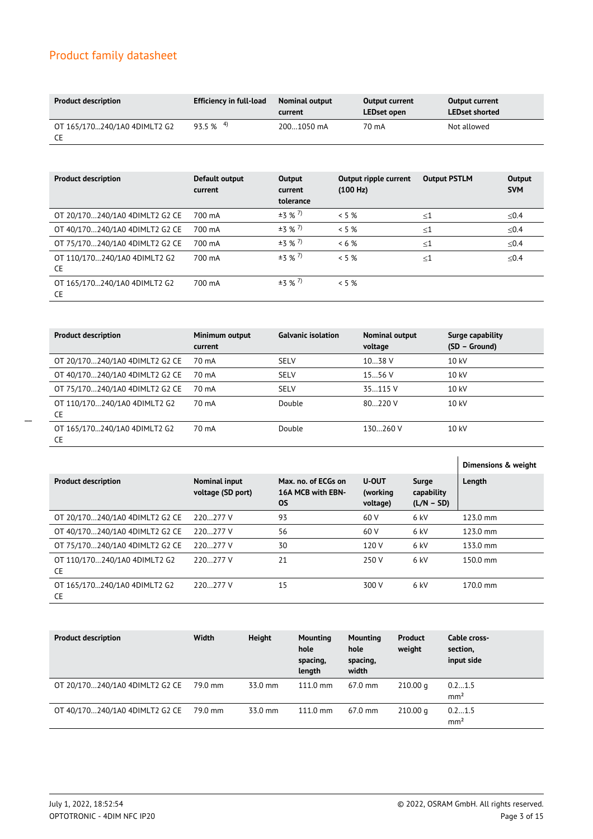| <b>Product description</b>         | Efficiency in full-load | <b>Nominal output</b><br>current | <b>Output current</b><br>LEDset open | <b>Output current</b><br><b>LEDset shorted</b> |
|------------------------------------|-------------------------|----------------------------------|--------------------------------------|------------------------------------------------|
| OT 165/170240/1A0 4DIMLT2 G2<br>CE | $93.5 \%$ <sup>4)</sup> | 2001050 mA                       | 70 mA                                | Not allowed                                    |

| <b>Product description</b>          | Default output<br>current | Output<br>current<br>tolerance | Output ripple current<br>(100 Hz) | <b>Output PSTLM</b> | Output<br><b>SVM</b> |
|-------------------------------------|---------------------------|--------------------------------|-----------------------------------|---------------------|----------------------|
| OT 20/170240/1A0 4DIMLT2 G2 CE      | 700 mA                    | $±3$ % <sup>7</sup> )          | $<$ 5 %                           | $\leq 1$            | ≤ $0.4$              |
| OT 40/170240/1A0 4DIMLT2 G2 CE      | 700 mA                    | $±3$ % <sup>7</sup> )          | $< 5 \%$                          | $\leq 1$            | ≤ $0.4$              |
| OT 75/170240/1A0 4DIMLT2 G2 CE      | 700 mA                    | $±3$ % <sup>7</sup> )          | $< 6\%$                           | $\leq 1$            | ≤ $0.4$              |
| OT 110/170240/1A0 4DIMLT2 G2<br>CE. | 700 mA                    | $±3$ % <sup>7</sup> )          | $< 5 \%$                          | $<$ 1               | < 0.4                |
| OT 165/170240/1A0 4DIMLT2 G2<br>CE. | 700 mA                    | $±3$ % <sup>7</sup> )          | $< 5 \%$                          |                     |                      |

| <b>Product description</b>                | Minimum output<br>current | <b>Galvanic isolation</b> | Nominal output<br>voltage | Surge capability<br>(SD – Ground) |
|-------------------------------------------|---------------------------|---------------------------|---------------------------|-----------------------------------|
| OT 20/170240/1A0 4DIMLT2 G2 CE            | 70 mA                     | <b>SELV</b>               | 1038 V                    | 10 kV                             |
| OT 40/170240/1A0 4DIMLT2 G2 CE            | 70 mA                     | <b>SELV</b>               | 1556 V                    | 10 kV                             |
| OT 75/170240/1A0 4DIMLT2 G2 CE            | 70 mA                     | <b>SELV</b>               | 35.115 V                  | 10 kV                             |
| OT 110/170240/1A0 4DIMLT2 G2<br>CE        | 70 mA                     | Double                    | 80220V                    | 10 kV                             |
| OT 165/170240/1A0 4DIMLT2 G2<br><b>CE</b> | 70 mA                     | Double                    | 130260 V                  | $10 \text{ kV}$                   |

|                                           |                                           |                                                       |                                      |                                     | Dimensions & weight |
|-------------------------------------------|-------------------------------------------|-------------------------------------------------------|--------------------------------------|-------------------------------------|---------------------|
| <b>Product description</b>                | <b>Nominal input</b><br>voltage (SD port) | Max. no. of ECGs on<br>16A MCB with EBN-<br><b>OS</b> | <b>U-OUT</b><br>(working<br>voltage) | Surge<br>capability<br>$(L/N - SD)$ | Length              |
| OT 20/170240/1A0 4DIMLT2 G2 CE            | 220277 V                                  | 93                                                    | 60 V                                 | $6$ kV                              | 123.0 mm            |
| OT 40/170240/1A0 4DIMLT2 G2 CE            | 220277 V                                  | 56                                                    | 60 V                                 | 6 kV                                | 123.0 mm            |
| OT 75/170240/1A0 4DIMLT2 G2 CE            | 220277 V                                  | 30                                                    | 120 V                                | 6 kV                                | 133.0 mm            |
| OT 110/170240/1A0 4DIMLT2 G2<br><b>CE</b> | 220277 V                                  | 21                                                    | 250 V                                | $6$ kV                              | $150.0 \text{ mm}$  |
| OT 165/170240/1A0 4DIMLT2 G2<br><b>CE</b> | 220277 V                                  | 15                                                    | 300 V                                | $6$ kV                              | 170.0 mm            |

| <b>Product description</b>     | Width   | <b>Height</b> | <b>Mounting</b><br>hole<br>spacing,<br>length | Mounting<br>hole<br>spacing,<br>width | <b>Product</b><br>weight | Cable cross-<br>section,<br>input side |
|--------------------------------|---------|---------------|-----------------------------------------------|---------------------------------------|--------------------------|----------------------------------------|
| OT 20/170240/1A0 4DIMLT2 G2 CE | 79.0 mm | 33.0 mm       | $111.0 \text{ mm}$                            | $67.0 \text{ mm}$                     | 210.00 <sub>q</sub>      | 0.21.5<br>mm <sup>2</sup>              |
| OT 40/170240/1A0 4DIMLT2 G2 CE | 79.0 mm | 33.0 mm       | $111.0 \text{ mm}$                            | $67.0 \text{ mm}$                     | 210.00 <sub>q</sub>      | 0.21.5<br>mm <sup>2</sup>              |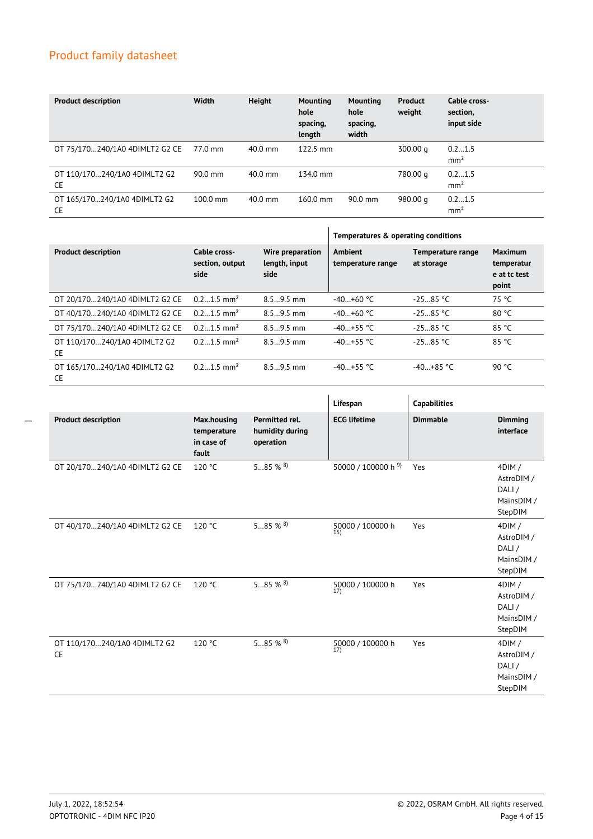| <b>Product description</b>                | Width              | <b>Height</b> | <b>Mounting</b><br>hole<br>spacing,<br>length | <b>Mounting</b><br>hole<br>spacing,<br>width | <b>Product</b><br>weight | Cable cross-<br>section,<br>input side |
|-------------------------------------------|--------------------|---------------|-----------------------------------------------|----------------------------------------------|--------------------------|----------------------------------------|
| OT 75/170240/1A0 4DIMLT2 G2 CE            | 77.0 mm            | 40.0 mm       | $122.5 \text{ mm}$                            |                                              | 300.00 g                 | 0.21.5<br>mm <sup>2</sup>              |
| OT 110/170240/1A0 4DIMLT2 G2<br><b>CE</b> | $90.0$ mm          | $40.0$ mm     | 134.0 mm                                      |                                              | 780.00 g                 | 0.21.5<br>mm <sup>2</sup>              |
| OT 165/170240/1A0 4DIMLT2 G2<br><b>CE</b> | $100.0 \text{ mm}$ | $40.0$ mm     | $160.0 \text{ mm}$                            | $90.0 \text{ mm}$                            | 980.00 g                 | 0.21.5<br>mm <sup>2</sup>              |

|                                           |                                         |                                           | Temperatures & operating conditions |                                 |                                                |  |
|-------------------------------------------|-----------------------------------------|-------------------------------------------|-------------------------------------|---------------------------------|------------------------------------------------|--|
| <b>Product description</b>                | Cable cross-<br>section, output<br>side | Wire preparation<br>length, input<br>side | <b>Ambient</b><br>temperature range | Temperature range<br>at storage | Maximum<br>temperatur<br>e at tc test<br>point |  |
| OT 20/170240/1A0 4DIMLT2 G2 CE            | $0.21.5$ mm <sup>2</sup>                | $8.59.5$ mm                               | $-40+60$ °C                         | $-2585 °C$                      | 75 °C                                          |  |
| OT 40/170240/1A0 4DIMLT2 G2 CE            | $0.21.5$ mm <sup>2</sup>                | $8.59.5$ mm                               | $-40+60$ °C                         | $-2585 °C$                      | 80 °C                                          |  |
| OT 75/170240/1A0 4DIMLT2 G2 CE            | $0.21.5$ mm <sup>2</sup>                | $8.59.5$ mm                               | $-40+55$ °C                         | $-2585 °C$                      | 85 °C                                          |  |
| OT 110/170240/1A0 4DIMLT2 G2<br><b>CE</b> | $0.21.5$ mm <sup>2</sup>                | $8.59.5$ mm                               | $-40+55$ °C                         | $-2585 °C$                      | 85 °C                                          |  |
| OT 165/170240/1A0 4DIMLT2 G2<br><b>CE</b> | $0.21.5$ mm <sup>2</sup>                | $8.59.5$ mm                               | $-40+55$ °C                         | $-40+85$ °C                     | 90 °C                                          |  |

|                                           |                                                   |                                                | Lifespan                            | <b>Capabilities</b> |                                                       |
|-------------------------------------------|---------------------------------------------------|------------------------------------------------|-------------------------------------|---------------------|-------------------------------------------------------|
| <b>Product description</b>                | Max.housing<br>temperature<br>in case of<br>fault | Permitted rel.<br>humidity during<br>operation | <b>ECG lifetime</b>                 | <b>Dimmable</b>     | <b>Dimming</b><br>interface                           |
| OT 20/170240/1A0 4DIMLT2 G2 CE            | 120 °C                                            | 585 % $8$                                      | 50000 / 100000 h 9)                 | Yes                 | 4DIM/<br>AstroDIM /<br>DALI/<br>MainsDIM /<br>StepDIM |
| OT 40/170240/1A0 4DIMLT2 G2 CE            | 120 °C                                            | $585%$ % $^{8}$                                | 50000 / 100000 h<br>15)             | Yes                 | 4DIM/<br>AstroDIM /<br>DALI/<br>MainsDIM /<br>StepDIM |
| OT 75/170240/1A0 4DIMLT2 G2 CE            | 120 °C                                            | 585 % $8$                                      | 50000 / 100000 h<br>$\overline{17}$ | Yes                 | 4DIM/<br>AstroDIM /<br>DALI/<br>MainsDIM /<br>StepDIM |
| OT 110/170240/1A0 4DIMLT2 G2<br><b>CE</b> | 120 °C                                            | $585%$ % $^{8}$                                | 50000 / 100000 h<br>17)             | Yes                 | 4DIM/<br>AstroDIM /<br>DALI/<br>MainsDIM /<br>StepDIM |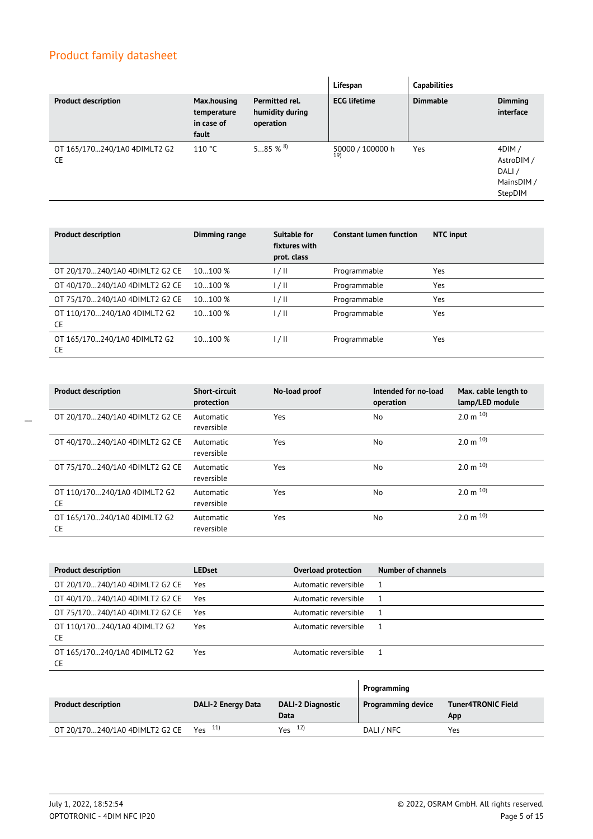|                                           |                                                   |                                                | Lifespan                | <b>Capabilities</b> |                                                           |
|-------------------------------------------|---------------------------------------------------|------------------------------------------------|-------------------------|---------------------|-----------------------------------------------------------|
| <b>Product description</b>                | Max.housing<br>temperature<br>in case of<br>fault | Permitted rel.<br>humidity during<br>operation | <b>ECG lifetime</b>     | <b>Dimmable</b>     | <b>Dimming</b><br>interface                               |
| OT 165/170240/1A0 4DIMLT2 G2<br><b>CE</b> | 110 °C                                            | $585%$ 8                                       | 50000 / 100000 h<br>19) | Yes                 | $4$ DIM /<br>AstroDIM /<br>DALI/<br>MainsDIM /<br>StepDIM |

| <b>Product description</b>                | Dimming range | <b>Suitable for</b><br>fixtures with<br>prot. class | <b>Constant lumen function</b> | NTC input |
|-------------------------------------------|---------------|-----------------------------------------------------|--------------------------------|-----------|
| OT 20/170240/1A0 4DIMLT2 G2 CE            | 10100%        | 17 H                                                | Programmable                   | Yes       |
| OT 40/170240/1A0 4DIMLT2 G2 CE            | 10100%        | 1/11                                                | Programmable                   | Yes       |
| OT 75/170240/1A0 4DIMLT2 G2 CE            | 10100%        | 1/11                                                | Programmable                   | Yes       |
| OT 110/170240/1A0 4DIMLT2 G2<br><b>CE</b> | 10100 %       | 1/11                                                | Programmable                   | Yes       |
| OT 165/170240/1A0 4DIMLT2 G2<br>CE.       | 10100%        | l / II                                              | Programmable                   | Yes       |

| <b>Product description</b>                | <b>Short-circuit</b><br>protection | No-load proof | Intended for no-load<br>operation | Max. cable length to<br>lamp/LED module |
|-------------------------------------------|------------------------------------|---------------|-----------------------------------|-----------------------------------------|
| OT 20/170240/1A0 4DIMLT2 G2 CE            | Automatic<br>reversible            | Yes           | <b>No</b>                         | $2.0 \text{ m}^{10}$                    |
| OT 40/170240/1A0 4DIMLT2 G2 CE            | Automatic<br>reversible            | Yes           | <b>No</b>                         | $2.0 \text{ m}^{10}$                    |
| OT 75/170240/1A0 4DIMLT2 G2 CE            | Automatic<br>reversible            | Yes           | <b>No</b>                         | $2.0 \text{ m}^{10}$                    |
| OT 110/170240/1A0 4DIMLT2 G2<br><b>CE</b> | Automatic<br>reversible            | Yes           | No                                | $2.0 \text{ m}^{10}$                    |
| OT 165/170240/1A0 4DIMLT2 G2<br>CE        | Automatic<br>reversible            | Yes           | <b>No</b>                         | $2.0 \text{ m}^{10}$                    |

| <b>Product description</b>                | <b>LEDset</b> | Overload protection  | Number of channels |
|-------------------------------------------|---------------|----------------------|--------------------|
| OT 20/170240/1A0 4DIMLT2 G2 CE            | Yes           | Automatic reversible |                    |
| OT 40/170240/1A0 4DIMLT2 G2 CE            | Yes           | Automatic reversible |                    |
| OT 75/170240/1A0 4DIMLT2 G2 CE            | Yes           | Automatic reversible |                    |
| OT 110/170240/1A0 4DIMLT2 G2<br>CE.       | Yes           | Automatic reversible |                    |
| OT 165/170240/1A0 4DIMLT2 G2<br><b>CE</b> | Yes           | Automatic reversible |                    |

|                                |                           |                                  | Programming               |                                  |
|--------------------------------|---------------------------|----------------------------------|---------------------------|----------------------------------|
| <b>Product description</b>     | <b>DALI-2 Energy Data</b> | <b>DALI-2 Diagnostic</b><br>Data | <b>Programming device</b> | <b>Tuner4TRONIC Field</b><br>App |
| OT 20/170240/1A0 4DIMLT2 G2 CE | $Y_{PS}$ 11)              | $Y_{PS}$ 12)                     | DALI / NFC                | Yes                              |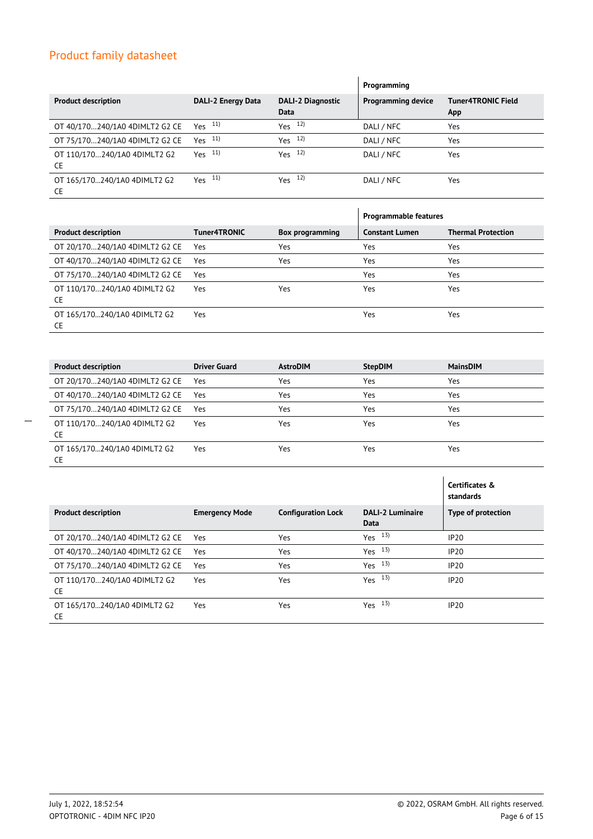|                                           |                           |                                  | Programming               |                                  |
|-------------------------------------------|---------------------------|----------------------------------|---------------------------|----------------------------------|
| <b>Product description</b>                | <b>DALI-2 Energy Data</b> | <b>DALI-2 Diagnostic</b><br>Data | <b>Programming device</b> | <b>Tuner4TRONIC Field</b><br>App |
| OT 40/170240/1A0 4DIMLT2 G2 CE            | $Yes$ $11)$               | $Yes$ $12)$                      | DALI / NFC                | Yes                              |
| OT 75/170240/1A0 4DIMLT2 G2 CE            | Yes $^{11}$               | Yes $12$                         | DALI / NFC                | Yes                              |
| OT 110/170240/1A0 4DIMLT2 G2<br><b>CE</b> | $Yes$ $11)$               | $Yes$ $12)$                      | DALI / NFC                | Yes                              |
| OT 165/170240/1A0 4DIMLT2 G2<br><b>CE</b> | $Yes$ $11)$               | $Yes$ $12)$                      | DALI / NFC                | Yes                              |

|                                           |              |                 | <b>Programmable features</b> |                           |
|-------------------------------------------|--------------|-----------------|------------------------------|---------------------------|
| <b>Product description</b>                | Tuner4TRONIC | Box programming | <b>Constant Lumen</b>        | <b>Thermal Protection</b> |
| OT 20/170240/1A0 4DIMLT2 G2 CE            | Yes          | Yes             | Yes                          | Yes                       |
| OT 40/170240/1A0 4DIMLT2 G2 CE            | Yes          | Yes             | Yes                          | Yes                       |
| OT 75/170240/1A0 4DIMLT2 G2 CE            | Yes          |                 | Yes                          | Yes                       |
| OT 110/170240/1A0 4DIMLT2 G2<br><b>CE</b> | Yes          | Yes             | Yes                          | Yes                       |
| OT 165/170240/1A0 4DIMLT2 G2<br><b>CE</b> | Yes          |                 | Yes                          | Yes                       |

| <b>Product description</b>                | <b>Driver Guard</b> | <b>AstroDIM</b> | <b>StepDIM</b> | <b>MainsDIM</b> |
|-------------------------------------------|---------------------|-----------------|----------------|-----------------|
| OT 20/170240/1A0 4DIMLT2 G2 CE Yes        |                     | Yes             | Yes            | Yes             |
| OT 40/170240/1A0 4DIMLT2 G2 CE            | Yes                 | Yes             | Yes            | Yes             |
| OT 75/170240/1A0 4DIMLT2 G2 CE            | Yes                 | Yes             | Yes            | Yes             |
| OT 110/170240/1A0 4DIMLT2 G2<br><b>CE</b> | Yes                 | Yes             | Yes            | Yes             |
| OT 165/170240/1A0 4DIMLT2 G2<br><b>CE</b> | Yes                 | Yes             | Yes            | Yes             |

|                                           |                       |                           |                                 | Certificates &<br>standards |
|-------------------------------------------|-----------------------|---------------------------|---------------------------------|-----------------------------|
| <b>Product description</b>                | <b>Emergency Mode</b> | <b>Configuration Lock</b> | <b>DALI-2 Luminaire</b><br>Data | Type of protection          |
| OT 20/170240/1A0 4DIMLT2 G2 CE            | Yes                   | Yes                       | $Yes$ $13)$                     | IP20                        |
| OT 40/170240/1A0 4DIMLT2 G2 CE            | Yes                   | Yes                       | Yes $13$                        | <b>IP20</b>                 |
| OT 75/170240/1A0 4DIMLT2 G2 CE            | Yes                   | Yes                       | $Yes$ $13)$                     | <b>IP20</b>                 |
| OT 110/170240/1A0 4DIMLT2 G2<br><b>CE</b> | Yes                   | Yes                       | 13)<br>Yes                      | <b>IP20</b>                 |
| OT 165/170240/1A0 4DIMLT2 G2<br><b>CE</b> | Yes                   | Yes                       | $Yes$ $13)$                     | IP20                        |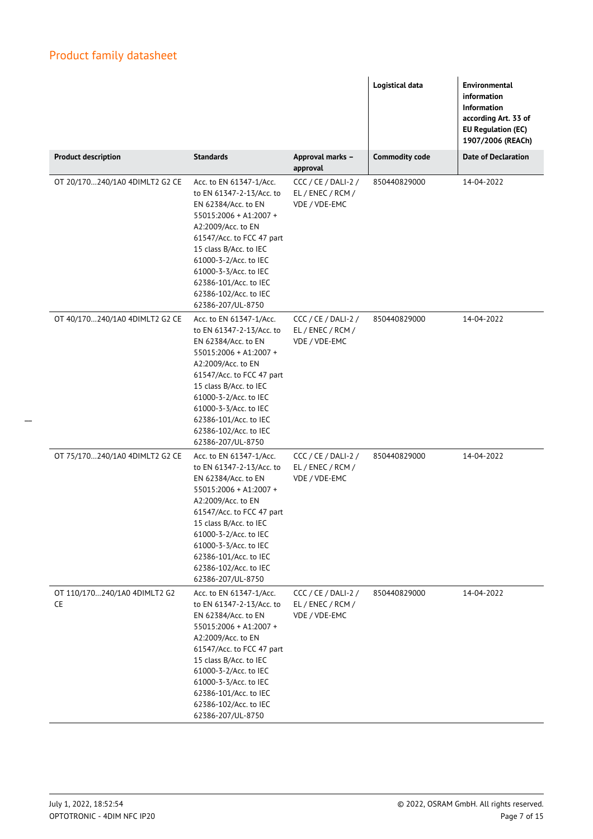|                                    |                                                                                                                                                                                                                                                                                                            |                                                           | Logistical data       | <b>Environmental</b><br>information<br><b>Information</b><br>according Art. 33 of<br>EU Regulation (EC)<br>1907/2006 (REACh) |
|------------------------------------|------------------------------------------------------------------------------------------------------------------------------------------------------------------------------------------------------------------------------------------------------------------------------------------------------------|-----------------------------------------------------------|-----------------------|------------------------------------------------------------------------------------------------------------------------------|
| <b>Product description</b>         | <b>Standards</b>                                                                                                                                                                                                                                                                                           | Approval marks -<br>approval                              | <b>Commodity code</b> | <b>Date of Declaration</b>                                                                                                   |
| OT 20/170240/1A0 4DIMLT2 G2 CE     | Acc. to EN 61347-1/Acc.<br>to EN 61347-2-13/Acc. to<br>EN 62384/Acc. to EN<br>55015:2006 + A1:2007 +<br>A2:2009/Acc. to EN<br>61547/Acc. to FCC 47 part<br>15 class B/Acc. to IEC<br>61000-3-2/Acc. to IEC<br>61000-3-3/Acc. to IEC<br>62386-101/Acc. to IEC<br>62386-102/Acc. to IEC<br>62386-207/UL-8750 | CCC / CE / DALI-2 /<br>EL / ENEC / RCM /<br>VDE / VDE-EMC | 850440829000          | 14-04-2022                                                                                                                   |
| OT 40/170240/1A0 4DIMLT2 G2 CE     | Acc. to EN 61347-1/Acc.<br>to EN 61347-2-13/Acc. to<br>EN 62384/Acc. to EN<br>55015:2006 + A1:2007 +<br>A2:2009/Acc. to EN<br>61547/Acc. to FCC 47 part<br>15 class B/Acc. to IEC<br>61000-3-2/Acc. to IEC<br>61000-3-3/Acc. to IEC<br>62386-101/Acc. to IEC<br>62386-102/Acc. to IEC<br>62386-207/UL-8750 | CCC/CE/DALI-2/<br>EL / ENEC / RCM /<br>VDE / VDE-EMC      | 850440829000          | 14-04-2022                                                                                                                   |
| OT 75/170240/1A0 4DIMLT2 G2 CE     | Acc. to EN 61347-1/Acc.<br>to EN 61347-2-13/Acc. to<br>EN 62384/Acc. to EN<br>55015:2006 + A1:2007 +<br>A2:2009/Acc. to EN<br>61547/Acc. to FCC 47 part<br>15 class B/Acc. to IEC<br>61000-3-2/Acc. to IEC<br>61000-3-3/Acc. to IEC<br>62386-101/Acc. to IEC<br>62386-102/Acc. to IEC<br>62386-207/UL-8750 | CCC / CE / DALI-2 /<br>EL / ENEC / RCM /<br>VDE / VDE-EMC | 850440829000          | 14-04-2022                                                                                                                   |
| OT 110/170240/1A0 4DIMLT2 G2<br>CE | Acc. to EN 61347-1/Acc.<br>to EN 61347-2-13/Acc. to<br>EN 62384/Acc. to EN<br>55015:2006 + A1:2007 +<br>A2:2009/Acc. to EN<br>61547/Acc. to FCC 47 part<br>15 class B/Acc. to IEC<br>61000-3-2/Acc. to IEC<br>61000-3-3/Acc. to IEC<br>62386-101/Acc. to IEC<br>62386-102/Acc. to IEC<br>62386-207/UL-8750 | CCC/CE/DALI-2/<br>EL / ENEC / RCM /<br>VDE / VDE-EMC      | 850440829000          | 14-04-2022                                                                                                                   |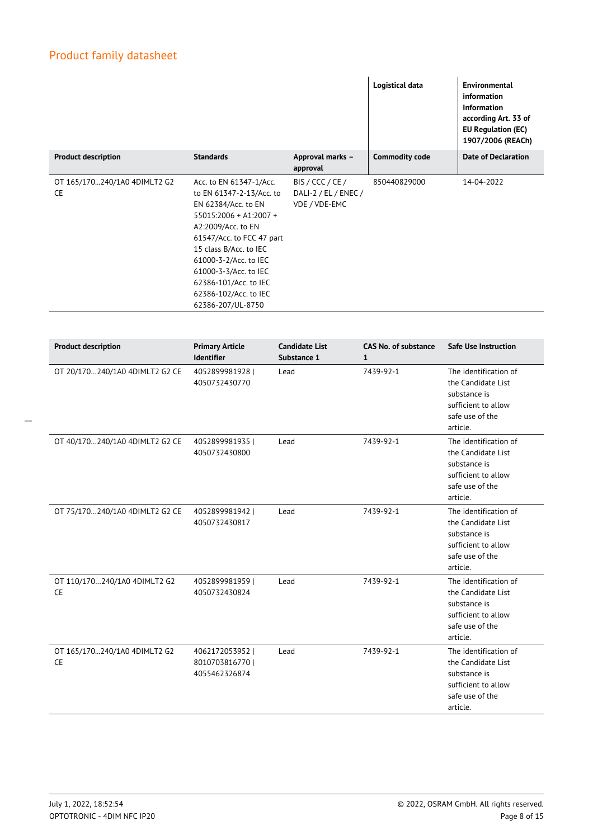|                                           |                                                                                                                                                                                                                                                                                                            |                                                           | Logistical data                  | <b>Environmental</b><br>information<br>Information<br>according Art. 33 of<br><b>EU Regulation (EC)</b><br>1907/2006 (REACh) |
|-------------------------------------------|------------------------------------------------------------------------------------------------------------------------------------------------------------------------------------------------------------------------------------------------------------------------------------------------------------|-----------------------------------------------------------|----------------------------------|------------------------------------------------------------------------------------------------------------------------------|
| <b>Product description</b>                | <b>Standards</b>                                                                                                                                                                                                                                                                                           | Approval marks -<br>approval                              | <b>Commodity code</b>            | <b>Date of Declaration</b>                                                                                                   |
| OT 165/170240/1A0 4DIMLT2 G2<br><b>CE</b> | Acc. to EN 61347-1/Acc.<br>to EN 61347-2-13/Acc. to<br>EN 62384/Acc. to EN<br>55015:2006 + A1:2007 +<br>A2:2009/Acc. to EN<br>61547/Acc. to FCC 47 part<br>15 class B/Acc. to IEC<br>61000-3-2/Acc. to IEC<br>61000-3-3/Acc. to IEC<br>62386-101/Acc. to IEC<br>62386-102/Acc. to IEC<br>62386-207/UL-8750 | BIS / CCC / CE /<br>DALI-2 / EL / ENEC /<br>VDE / VDE-EMC | 850440829000                     | 14-04-2022                                                                                                                   |
|                                           |                                                                                                                                                                                                                                                                                                            |                                                           |                                  |                                                                                                                              |
| <b>Product description</b>                | <b>Primary Article</b><br><b>Identifier</b>                                                                                                                                                                                                                                                                | <b>Candidate List</b><br>Substance 1                      | <b>CAS No. of substance</b><br>1 | <b>Safe Use Instruction</b>                                                                                                  |
| OT 20/170240/1A0 4DIMLT2 G2 CE            | 4052899981928  <br>4050732430770                                                                                                                                                                                                                                                                           | Lead                                                      | 7439-92-1                        | The identification of<br>the Candidate List<br>substance is<br>sufficient to allow<br>safe use of the<br>article.            |
| OT 40/170240/1A0 4DIMLT2 G2 CE            | 4052899981935  <br>4050732430800                                                                                                                                                                                                                                                                           | Lead                                                      | 7439-92-1                        | The identification of<br>the Candidate List<br>substance is<br>sufficient to allow<br>safe use of the<br>article.            |
| OT 75/170240/1A0 4DIMLT2 G2 CE            | 4052899981942  <br>4050732430817                                                                                                                                                                                                                                                                           | Lead                                                      | 7439-92-1                        | The identification of<br>the Candidate List<br>substance is<br>sufficient to allow<br>safe use of the<br>article.            |
| OT 110/170240/1A0 4DIMLT2 G2<br>CE        | 4052899981959  <br>4050732430824                                                                                                                                                                                                                                                                           | Lead                                                      | 7439-92-1                        | The identification of<br>the Candidate List<br>substance is<br>sufficient to allow<br>safe use of the<br>article.            |
| OT 165/170240/1A0 4DIMLT2 G2<br>CE        | 4062172053952  <br>8010703816770  <br>4055462326874                                                                                                                                                                                                                                                        | Lead                                                      | 7439-92-1                        | The identification of<br>the Candidate List<br>substance is<br>sufficient to allow<br>safe use of the<br>article.            |

 $\overline{\phantom{a}}$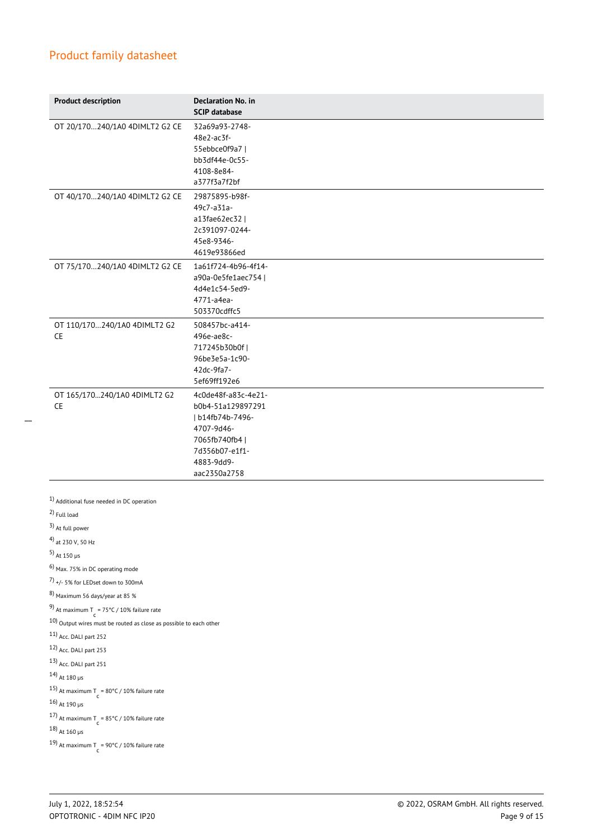| <b>Declaration No. in</b><br><b>SCIP database</b>                                                                                            |
|----------------------------------------------------------------------------------------------------------------------------------------------|
| 32a69a93-2748-<br>48e2-ac3f-<br>55ebbce0f9a7  <br>bb3df44e-0c55-<br>4108-8e84-<br>a377f3a7f2bf                                               |
| 29875895-b98f-<br>49c7-a31a-<br>a13fae62ec32  <br>2c391097-0244-<br>45e8-9346-<br>4619e93866ed                                               |
| 1a61f724-4b96-4f14-<br>a90a-0e5fe1aec754  <br>4d4e1c54-5ed9-<br>4771-a4ea-<br>503370cdffc5                                                   |
| 508457bc-a414-<br>496e-ae8c-<br>717245b30b0f<br>96be3e5a-1c90-<br>42dc-9fa7-<br>5ef69ff192e6                                                 |
| 4c0de48f-a83c-4e21-<br>b0b4-51a129897291<br>  b14fb74b-7496-<br>4707-9d46-<br>7065fb740fb4  <br>7d356b07-e1f1-<br>4883-9dd9-<br>aac2350a2758 |
|                                                                                                                                              |
|                                                                                                                                              |

 $\frac{10}{10}$  Output wires must be routed as close as possible to each other

- 11) Acc. DALI part 252
- 12) Acc. DALI part 253
- 13) Acc. DALI part 251
- 14) At 180 µs
- 15) At maximum T =  $80^{\circ}$ C / 10% failure rate
- 16)  $_{\rm At}$  190  $_{\rm \mu s}$

17) At maximum T =  $85^{\circ}$ C / 10% failure rate

18) At 160 µs

19) At maximum T = 90°C / 10% failure rate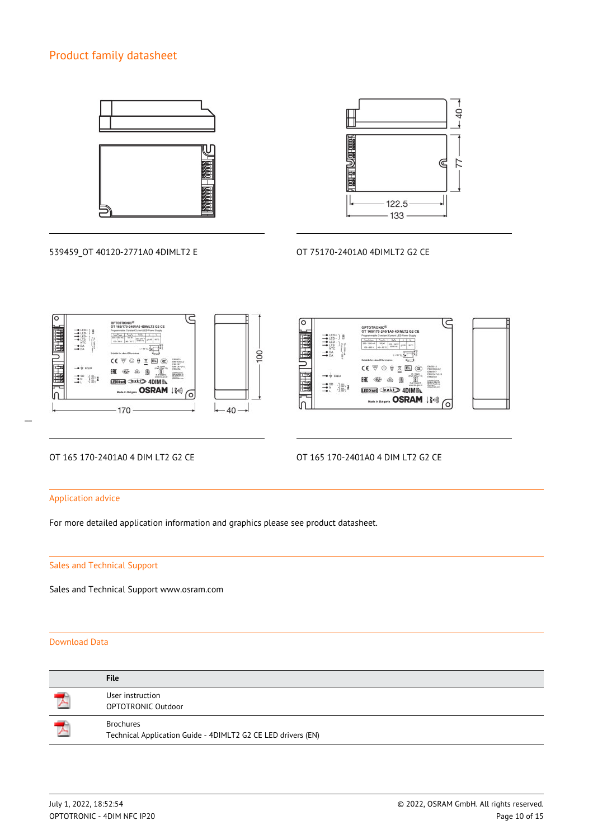



539459\_OT 40120-2771A0 4DIMLT2 E OT 75170-2401A0 4DIMLT2 G2 CE





 $\overline{a}$ 

## OT 165 170-2401A0 4 DIM LT2 G2 CE OT 165 170-2401A0 4 DIM LT2 G2 CE

### Application advice

For more detailed application information and graphics please see product datasheet.

### Sales and Technical Support

Sales and Technical Support www.osram.com

### Download Data

| <b>File</b>                                                                      |
|----------------------------------------------------------------------------------|
| User instruction<br><b>OPTOTRONIC Outdoor</b>                                    |
| <b>Brochures</b><br>Technical Application Guide - 4DIMLT2 G2 CE LED drivers (EN) |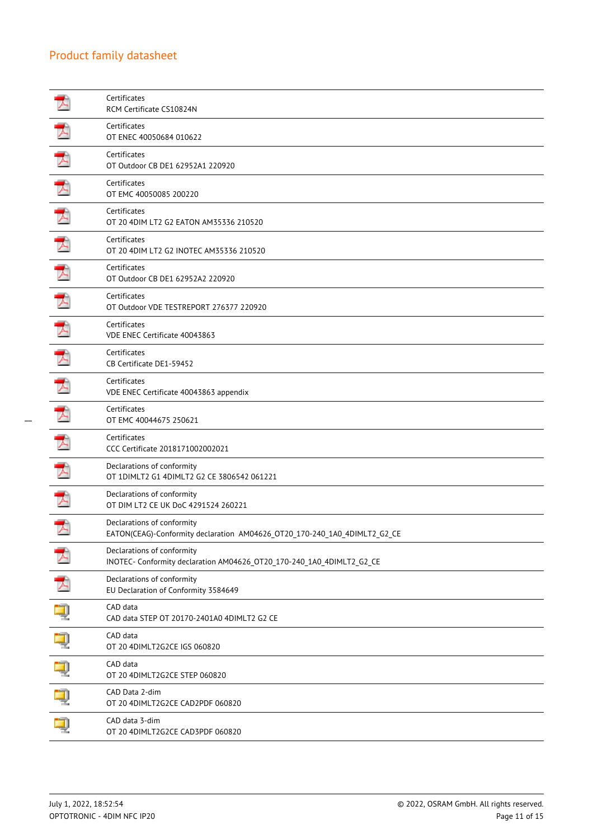|    | Certificates<br>RCM Certificate CS10824N                                                                |
|----|---------------------------------------------------------------------------------------------------------|
| A  | Certificates<br>OT ENEC 40050684 010622                                                                 |
| 7. | Certificates<br>OT Outdoor CB DE1 62952A1 220920                                                        |
| プ  | Certificates<br>OT EMC 40050085 200220                                                                  |
| 人  | Certificates<br>OT 20 4DIM LT2 G2 EATON AM35336 210520                                                  |
|    | Certificates<br>OT 20 4DIM LT2 G2 INOTEC AM35336 210520                                                 |
| ᅐ  | Certificates<br>OT Outdoor CB DE1 62952A2 220920                                                        |
| プ  | Certificates<br>OT Outdoor VDE TESTREPORT 276377 220920                                                 |
|    | Certificates<br>VDE ENEC Certificate 40043863                                                           |
| プ  | Certificates<br>CB Certificate DE1-59452                                                                |
| プ  | Certificates<br>VDE ENEC Certificate 40043863 appendix                                                  |
| プ  | Certificates<br>OT EMC 40044675 250621                                                                  |
| ₮  | Certificates<br>CCC Certificate 2018171002002021                                                        |
|    | Declarations of conformity<br>OT 1DIMLT2 G1 4DIMLT2 G2 CE 3806542 061221                                |
| プ  | Declarations of conformity<br>OT DIM LT2 CE UK DoC 4291524 260221                                       |
|    | Declarations of conformity<br>EATON(CEAG)-Conformity declaration AM04626_OT20_170-240_1A0_4DIMLT2_G2_CE |
|    | Declarations of conformity<br>INOTEC- Conformity declaration AM04626_OT20_170-240_1A0_4DIMLT2_G2_CE     |
|    | Declarations of conformity<br>EU Declaration of Conformity 3584649                                      |
|    | CAD data<br>CAD data STEP OT 20170-2401A0 4DIMLT2 G2 CE                                                 |
|    | CAD data<br>OT 20 4DIMLT2G2CE IGS 060820                                                                |
|    | CAD data<br>OT 20 4DIMLT2G2CE STEP 060820                                                               |
|    | CAD Data 2-dim<br>OT 20 4DIMLT2G2CE CAD2PDF 060820                                                      |
|    | CAD data 3-dim<br>OT 20 4DIMLT2G2CE CAD3PDF 060820                                                      |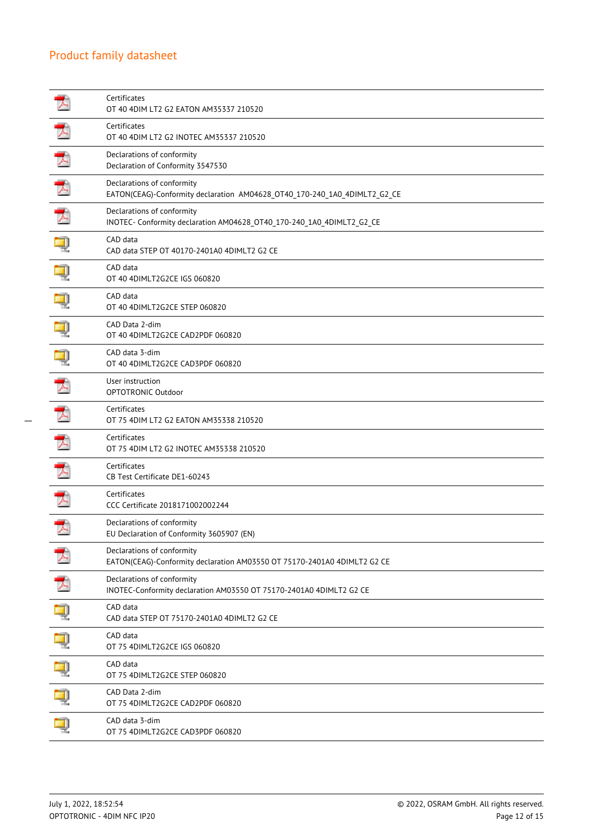|   | Certificates<br>OT 40 4DIM LT2 G2 EATON AM35337 210520                                                  |
|---|---------------------------------------------------------------------------------------------------------|
| ┻ | Certificates<br>OT 40 4DIM LT2 G2 INOTEC AM35337 210520                                                 |
| 귯 | Declarations of conformity<br>Declaration of Conformity 3547530                                         |
| プ | Declarations of conformity<br>EATON(CEAG)-Conformity declaration AM04628_OT40_170-240_1A0_4DIMLT2_G2_CE |
| 人 | Declarations of conformity<br>INOTEC- Conformity declaration AM04628_OT40_170-240_1A0_4DIMLT2_G2_CE     |
|   | CAD data<br>CAD data STEP OT 40170-2401A0 4DIMLT2 G2 CE                                                 |
|   | CAD data<br>OT 40 4DIMLT2G2CE IGS 060820                                                                |
|   | CAD data<br>OT 40 4DIMLT2G2CE STEP 060820                                                               |
|   | CAD Data 2-dim<br>OT 40 4DIMLT2G2CE CAD2PDF 060820                                                      |
|   | CAD data 3-dim<br>OT 40 4DIMLT2G2CE CAD3PDF 060820                                                      |
| ᆺ | User instruction<br>OPTOTRONIC Outdoor                                                                  |
| ┻ | Certificates<br>OT 75 4DIM LT2 G2 EATON AM35338 210520                                                  |
| ᄌ | Certificates<br>OT 75 4DIM LT2 G2 INOTEC AM35338 210520                                                 |
|   | Certificates<br>CB Test Certificate DE1-60243                                                           |
| ᅐ | Certificates<br>CCC Certificate 2018171002002244                                                        |
| プ | Declarations of conformity<br>EU Declaration of Conformity 3605907 (EN)                                 |
|   | Declarations of conformity<br>EATON(CEAG)-Conformity declaration AM03550 OT 75170-2401A0 4DIMLT2 G2 CE  |
|   | Declarations of conformity<br>INOTEC-Conformity declaration AM03550 OT 75170-2401A0 4DIMLT2 G2 CE       |
|   | CAD data<br>CAD data STEP OT 75170-2401A0 4DIMLT2 G2 CE                                                 |
|   | CAD data<br>OT 75 4DIMLT2G2CE IGS 060820                                                                |
|   | CAD data<br>OT 75 4DIMLT2G2CE STEP 060820                                                               |
|   | CAD Data 2-dim<br>OT 75 4DIMLT2G2CE CAD2PDF 060820                                                      |
|   | CAD data 3-dim<br>OT 75 4DIMLT2G2CE CAD3PDF 060820                                                      |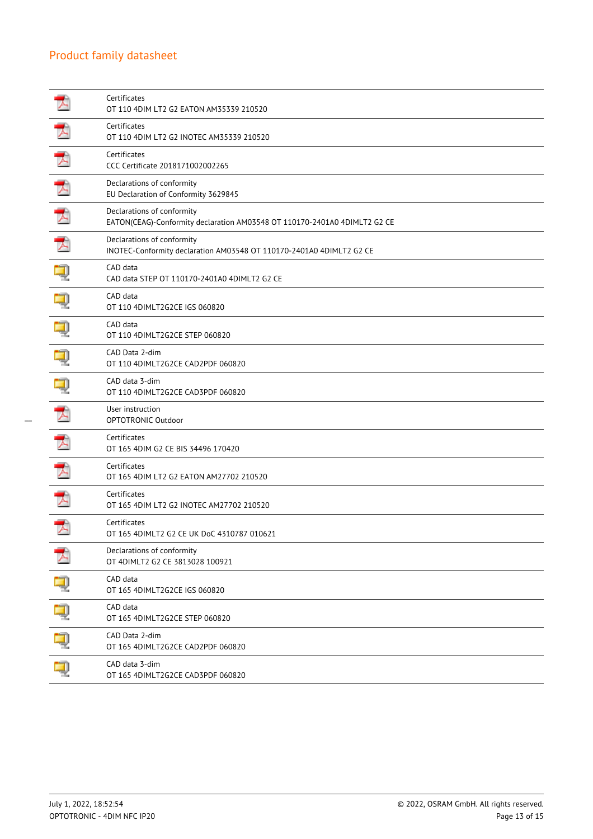|   | Certificates<br>OT 110 4DIM LT2 G2 EATON AM35339 210520                                                 |
|---|---------------------------------------------------------------------------------------------------------|
|   | Certificates<br>OT 110 4DIM LT2 G2 INOTEC AM35339 210520                                                |
| プ | Certificates<br>CCC Certificate 2018171002002265                                                        |
|   | Declarations of conformity<br>EU Declaration of Conformity 3629845                                      |
| 入 | Declarations of conformity<br>EATON(CEAG)-Conformity declaration AM03548 OT 110170-2401A0 4DIMLT2 G2 CE |
|   | Declarations of conformity<br>INOTEC-Conformity declaration AM03548 OT 110170-2401A0 4DIMLT2 G2 CE      |
|   | CAD data<br>CAD data STEP OT 110170-2401A0 4DIMLT2 G2 CE                                                |
|   | CAD data<br>OT 110 4DIMLT2G2CE IGS 060820                                                               |
|   | CAD data<br>OT 110 4DIMLT2G2CE STEP 060820                                                              |
|   | CAD Data 2-dim<br>OT 110 4DIMLT2G2CE CAD2PDF 060820                                                     |
|   | CAD data 3-dim<br>OT 110 4DIMLT2G2CE CAD3PDF 060820                                                     |
|   | User instruction<br>OPTOTRONIC Outdoor                                                                  |
| 人 | Certificates<br>OT 165 4DIM G2 CE BIS 34496 170420                                                      |
|   | Certificates<br>OT 165 4DIM LT2 G2 EATON AM27702 210520                                                 |
|   | Certificates<br>OT 165 4DIM LT2 G2 INOTEC AM27702 210520                                                |
|   | Certificates<br>OT 165 4DIMLT2 G2 CE UK DoC 4310787 010621                                              |
|   | Declarations of conformity<br>OT 4DIMLT2 G2 CE 3813028 100921                                           |
|   | CAD data<br>OT 165 4DIMLT2G2CE IGS 060820                                                               |
|   | CAD data<br>OT 165 4DIMLT2G2CE STEP 060820                                                              |
|   | CAD Data 2-dim<br>OT 165 4DIMLT2G2CE CAD2PDF 060820                                                     |
|   | CAD data 3-dim<br>OT 165 4DIMLT2G2CE CAD3PDF 060820                                                     |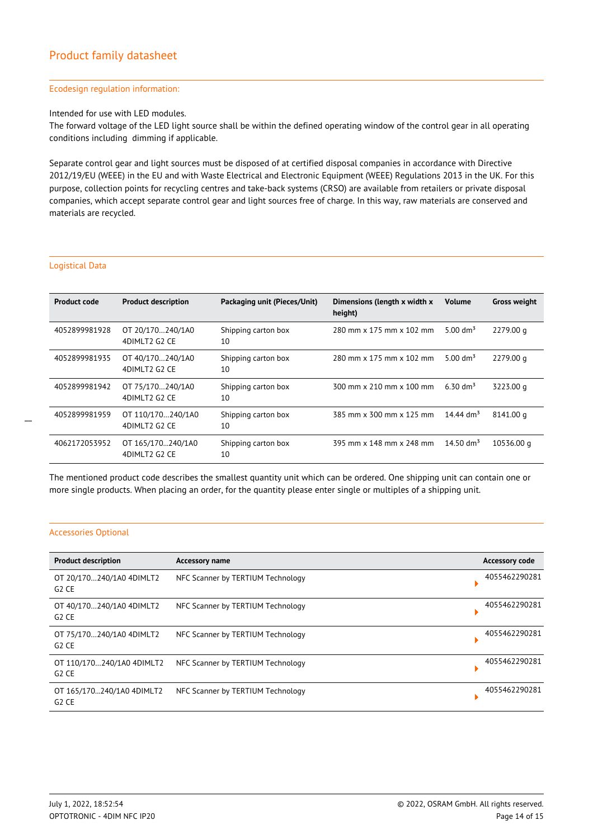#### Ecodesign regulation information:

Intended for use with LED modules.

The forward voltage of the LED light source shall be within the defined operating window of the control gear in all operating conditions including dimming if applicable.

Separate control gear and light sources must be disposed of at certified disposal companies in accordance with Directive 2012/19/EU (WEEE) in the EU and with Waste Electrical and Electronic Equipment (WEEE) Regulations 2013 in the UK. For this purpose, collection points for recycling centres and take-back systems (CRSO) are available from retailers or private disposal companies, which accept separate control gear and light sources free of charge. In this way, raw materials are conserved and materials are recycled.

### Logistical Data

| <b>Product code</b> | <b>Product description</b>         | Packaging unit (Pieces/Unit) | Dimensions (length x width x<br>height) | <b>Volume</b>         | <b>Gross weight</b> |
|---------------------|------------------------------------|------------------------------|-----------------------------------------|-----------------------|---------------------|
| 4052899981928       | OT 20/170240/1A0<br>4DIMLT2 G2 CE  | Shipping carton box<br>10    | 280 mm x 175 mm x 102 mm                | 5.00 $\rm{dm^3}$      | 2279.00 g           |
| 4052899981935       | OT 40/170240/1A0<br>4DIMLT2 G2 CE  | Shipping carton box<br>10    | 280 mm x 175 mm x 102 mm                | 5.00 $\rm{dm^3}$      | 2279.00 g           |
| 4052899981942       | OT 75/170240/1A0<br>4DIMLT2 G2 CE  | Shipping carton box<br>10    | 300 mm x 210 mm x 100 mm                | 6.30 dm <sup>3</sup>  | 3223.00 g           |
| 4052899981959       | OT 110/170240/1A0<br>4DIMLT2 G2 CE | Shipping carton box<br>10    | 385 mm x 300 mm x 125 mm                | 14.44 dm <sup>3</sup> | 8141.00 g           |
| 4062172053952       | OT 165/170240/1A0<br>4DIMLT2 G2 CE | Shipping carton box<br>10    | 395 mm x 148 mm x 248 mm                | 14.50 $\rm{dm^3}$     | 10536.00 g          |

The mentioned product code describes the smallest quantity unit which can be ordered. One shipping unit can contain one or more single products. When placing an order, for the quantity please enter single or multiples of a shipping unit.

### Accessories Optional

| <b>Product description</b>        | Accessory name                    | <b>Accessory code</b> |
|-----------------------------------|-----------------------------------|-----------------------|
| OT 20/170240/1A0 4DIMLT2<br>G2CE  | NFC Scanner by TERTIUM Technology | 4055462290281         |
| OT 40/170240/1A0 4DIMLT2<br>G2CE  | NFC Scanner by TERTIUM Technology | 4055462290281         |
| OT 75/170240/1A0 4DIMLT2<br>G2CE  | NFC Scanner by TERTIUM Technology | 4055462290281         |
| OT 110/170240/1A0 4DIMLT2<br>G2CE | NFC Scanner by TERTIUM Technology | 4055462290281         |
| OT 165/170240/1A0 4DIMLT2<br>G2CE | NFC Scanner by TERTIUM Technology | 4055462290281         |